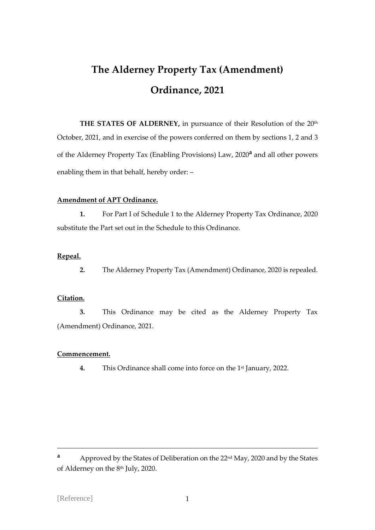# **The Alderney Property Tax (Amendment) Ordinance, 2021**

**THE STATES OF ALDERNEY,** in pursuance of their Resolution of the 20th October, 2021, and in exercise of the powers conferred on them by sections 1, 2 and 3 of the Alderney Property Tax (Enabling Provisions) Law, 2020**<sup>a</sup>** and all other powers enabling them in that behalf, hereby order: –

### **Amendment of APT Ordinance.**

**1.** For Part I of Schedule 1 to the Alderney Property Tax Ordinance, 2020 substitute the Part set out in the Schedule to this Ordinance.

## **Repeal.**

**2.** The Alderney Property Tax (Amendment) Ordinance, 2020 is repealed.

## **Citation.**

**3.** This Ordinance may be cited as the Alderney Property Tax (Amendment) Ordinance, 2021.

### **Commencement.**

**4.** This Ordinance shall come into force on the 1st January, 2022.

**a** Approved by the States of Deliberation on the 22<sup>nd</sup> May, 2020 and by the States of Alderney on the 8 th July, 2020.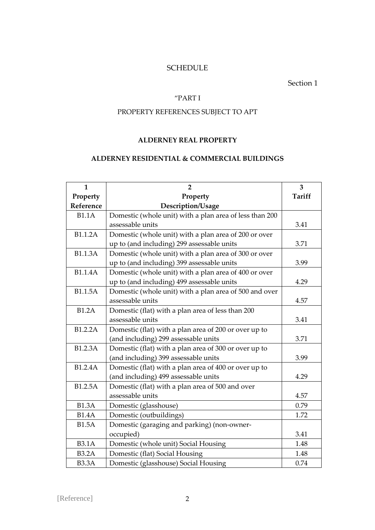# **SCHEDULE**

Section 1

## "PART I

## PROPERTY REFERENCES SUBJECT TO APT

## **ALDERNEY REAL PROPERTY**

## **ALDERNEY RESIDENTIAL & COMMERCIAL BUILDINGS**

| $\mathbf{1}$   | $\overline{2}$                                          | 3             |
|----------------|---------------------------------------------------------|---------------|
| Property       | Property                                                | <b>Tariff</b> |
| Reference      | Description/Usage                                       |               |
| <b>B1.1A</b>   | Domestic (whole unit) with a plan area of less than 200 |               |
|                | assessable units                                        | 3.41          |
| B1.1.2A        | Domestic (whole unit) with a plan area of 200 or over   |               |
|                | up to (and including) 299 assessable units              | 3.71          |
| <b>B1.1.3A</b> | Domestic (whole unit) with a plan area of 300 or over   |               |
|                | up to (and including) 399 assessable units              | 3.99          |
| <b>B1.1.4A</b> | Domestic (whole unit) with a plan area of 400 or over   |               |
|                | up to (and including) 499 assessable units              | 4.29          |
| <b>B1.1.5A</b> | Domestic (whole unit) with a plan area of 500 and over  |               |
|                | assessable units                                        | 4.57          |
| <b>B1.2A</b>   | Domestic (flat) with a plan area of less than 200       |               |
|                | assessable units                                        | 3.41          |
| B1.2.2A        | Domestic (flat) with a plan area of 200 or over up to   |               |
|                | (and including) 299 assessable units                    | 3.71          |
| B1.2.3A        | Domestic (flat) with a plan area of 300 or over up to   |               |
|                | (and including) 399 assessable units                    | 3.99          |
| B1.2.4A        | Domestic (flat) with a plan area of 400 or over up to   |               |
|                | (and including) 499 assessable units                    | 4.29          |
| B1.2.5A        | Domestic (flat) with a plan area of 500 and over        |               |
|                | assessable units                                        | 4.57          |
| <b>B1.3A</b>   | Domestic (glasshouse)                                   | 0.79          |
| <b>B1.4A</b>   | Domestic (outbuildings)                                 | 1.72          |
| <b>B1.5A</b>   | Domestic (garaging and parking) (non-owner-             |               |
|                | occupied)                                               | 3.41          |
| <b>B3.1A</b>   | Domestic (whole unit) Social Housing                    | 1.48          |
| <b>B3.2A</b>   | Domestic (flat) Social Housing                          | 1.48          |
| <b>B3.3A</b>   | Domestic (glasshouse) Social Housing                    | 0.74          |